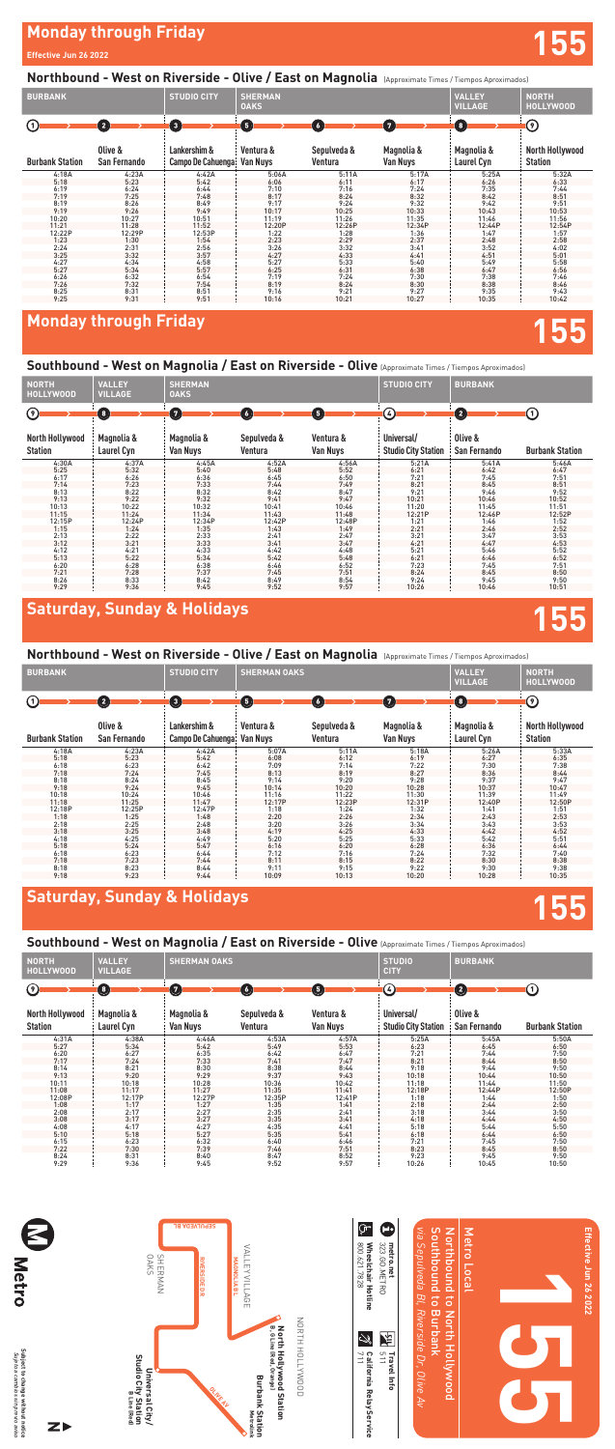# **Monday through Friday 155**

### Southbound - West on Magnolia / East on Riverside - Olive (Approximate Times / Tiempos Aproximados)

### **Monday through Friday**

#### **Effective Jun 26 2022**

#### Northbound - West on Riverside - Olive / East on Magnolia *[Approximate Times / Tiempos Aproximados]*

# **Saturday, Sunday & Holidays 155**

#### Northbound - West on Riverside - Olive / East on Magnolia *(Approximate Times / Tiempos Aproximados)*

| <b>BURBANK</b>         |                         | <b>STUDIO CITY</b>                | <b>SHERMAN OAKS</b>          |                                   |                               | <b>VALLEY</b><br><b>VILLAGE</b> | <b>NORTH</b><br><b>HOLLYWOOD</b>         |
|------------------------|-------------------------|-----------------------------------|------------------------------|-----------------------------------|-------------------------------|---------------------------------|------------------------------------------|
| $\left( 1\right)$      | $\mathbf 2$             | $\left( 3\right)$                 | 6                            | $\begin{pmatrix} 6 \end{pmatrix}$ | $\boldsymbol{\bm{\Theta}}$    | O                               | $\left( \text{ }^{_{9}\right)$           |
| <b>Burbank Station</b> | Olive &<br>San Fernando | Lankershim &<br>Campo De Cahuenga | Ventura &<br><b>Van Nuys</b> | Sepulveda &<br>Ventura            | Magnolia &<br><b>Van Nuys</b> | Magnolia &<br>Laurel Cyn        | <b>North Hollywood</b><br><b>Station</b> |
| 4:18A                  | 4:23A                   | 4:42A                             | 5:07A                        | 5:11A                             | 5:18A                         | 5:26A                           | 5:33A                                    |
| 5:18                   | 5:23                    | 5:42                              | 6:08                         | 6:12                              | 6:19                          | 6:27                            | 6:35                                     |
| 6:18                   | 6:23                    | 6:42                              | 7:09                         | 7:14                              | 7:22                          | 7:30                            | 7:38                                     |
| 7:18                   | 7:24                    | 7:45                              | 8:13                         | 8:19                              | 8:27                          | 8:36                            | 8:44                                     |
| 8:18                   | 8:24                    | 8:45                              | 9:14                         | 9:20                              | 9:28                          | 9:37                            | 9:47                                     |
| 9:18                   | 9:24                    | 9:45                              | 10:14                        | 10:20                             | 10:28                         | 10:37                           | 10:47                                    |
| 10:18                  | 10:24                   | 10:46                             | 11:16                        | 11:22                             | 11:30                         | 11:39                           | 11:49                                    |
| 11:18                  | 11:25                   | 11:47                             | 12:17P                       | 12:23P                            | 12:31P                        | 12:40P                          | 12:50P                                   |
| 12:18P                 | 12:25P                  | 12:47P                            | 1:18                         | 1:24                              | 1:32                          | 1:41                            | 1:51                                     |
| 1:18                   | 1:25                    | 1:48                              | 2:20                         | 2:26                              | 2:34                          | 2:43                            | 2:53                                     |
| 2:18                   | 2:25                    | 2:48                              | 3:20                         | 3:26                              | 3:34                          | 3:43                            | 3:53                                     |
| 3:18                   | 3:25                    | 3:48                              | 4:19                         | 4:25                              | 4:33                          | 4:42                            | 4:52                                     |
| 4:18                   | 4:25                    | 4:49                              | 5:20                         | 5:25                              | 5:33                          | 5:42                            | 5:51                                     |
| 5:18                   | 5:24                    | 5:47                              | 6:16                         | 6:20                              | 6:28                          | 6:36                            | 6:44                                     |
| 6:18                   | 6:23                    | 6:44                              | 7:12                         | 7:16                              | 7:24                          | 7:32                            | 7:40                                     |
| 7:18                   | 7:23                    | 7:44                              | 8:11                         | 8:15                              | 8:22                          | 8:30                            | 8:38                                     |
| 8:18                   | 8:23                    | 8:44                              | 9:11                         | 9:15                              | 9:22                          | 9:30                            | 9:38                                     |
| 9:18                   | 9:23                    | 9:44                              | 10:09                        | 10:13                             | 10:20                         | 10:28                           | 10:35                                    |

### **Saturday, Sunday & Holidays**

#### Southbound - West on Magnolia / East on Riverside - Olive (Approximate Times / Tiempos Aproximados)

| <b>NORTH</b><br><b>HOLLYWOOD</b>         | <b>VALLEY</b><br><b>VILLAGE</b>                 | <b>SHERMAN OAKS</b>    |                        |                              | <b>STUDIO</b><br><b>CITY</b>             | <b>BURBANK</b>          |                        |
|------------------------------------------|-------------------------------------------------|------------------------|------------------------|------------------------------|------------------------------------------|-------------------------|------------------------|
| $\left( \text{ }^{9}\right)$             | $\left( \begin{array}{c} 3 \end{array} \right)$ | $\mathbf \Omega$       | $\bullet$              | $\sqrt{5}$                   | ④                                        | 2                       | (1)                    |
| <b>North Hollywood</b><br><b>Station</b> | Magnolia &<br>Laurel Cyn                        | Magnolia &<br>Van Nuys | Sepulveda &<br>Ventura | Ventura &<br><b>Van Nuys</b> | Universal/<br><b>Studio City Station</b> | Olive &<br>San Fernando | <b>Burbank Station</b> |
| 4:31A                                    | 4:38A                                           | 4:46A                  | 4:53A                  | 4:57A                        | 5:25A                                    | 5:45A                   | 5:50A                  |
| 5:27                                     | 5:34                                            | 5:42                   | 5:49                   | 5:53                         | 6:23                                     | 6:45                    | 6:50                   |
| 6:20                                     | 6:27                                            | 6:35                   | 6:42                   | 6:47                         | 7:21                                     | 7:44                    | 7:50                   |
| 7:17                                     | 7:24                                            | 7:33                   | 7:41                   | 7:47                         | 8:21                                     | 8:44                    | 8:50                   |
| 8:14                                     | 8:21                                            | 8:30                   | 8:38                   | 8:44                         | 9:18                                     | 9:44                    | 9:50                   |
| 9:13                                     | 9:20                                            | 9:29                   | 9:37                   | 9:43                         | 10:18                                    | 10:44                   | 10:50                  |
| 10:11                                    | 10:18                                           | 10:28                  | 10:36                  | 10:42                        | 11:18                                    | 11:44                   | 11:50                  |
| 11:08                                    | 11:17                                           | 11:27                  | 11:35                  | 11:41                        | 12:18P                                   | 12:44P                  | 12:50P                 |
| 12:08P                                   | 12:17P                                          | 12:27P                 | 12:35P                 | 12:41P                       | 1:18                                     | 1:44                    | 1:50                   |
| 1:08                                     | 1:17                                            | 1:27                   | 1:35                   | 1:41                         | 2:18                                     | 2:44                    | 2:50                   |
| 2:08                                     | 2:17                                            | 2:27                   | 2:35                   | 2:41                         | 3:18                                     | 3:44                    | 3:50                   |
| 3:08                                     | 3:17                                            | 3:27                   | 3:35                   | 3:41                         | 4:18                                     | 4:44                    | 4:50                   |
| 4:08                                     | 4:17                                            | 4:27                   | 4:35                   | 4:41                         | 5:18                                     | 5:44                    | 5:50                   |
| 5:10                                     | 5:18                                            | 5:27                   | 5:35                   | 5:41                         | 6:18                                     | 6:44                    | 6:50                   |
| 6:15                                     | 6:23                                            | 6:32                   | 6:40                   | 6:46                         | 7:21                                     | 7:45                    | 7:50                   |
| 7:22                                     | 7:30                                            | 7:39                   | 7:46                   | 7:51                         | 8:23                                     | 8:45                    | 8:50                   |
| 8:24                                     | 8:31                                            | 8:40                   | 8:47                   | 8:52                         | 9:23                                     | 9:45                    | 9:50                   |
| 9:29                                     | 9:36                                            | 9:45                   | 9:52                   | 9:57                         | 10:26                                    | 10:45                   | 10:50                  |

| <b>BURBANK</b>         |                         | <b>STUDIO CITY</b>                | <b>SHERMAN</b><br><b>OAKS</b> |                        |                        | <b>VALLEY</b><br><b>VILLAGE</b> | <b>NORTH</b><br><b>HOLLYWOOD</b>         |
|------------------------|-------------------------|-----------------------------------|-------------------------------|------------------------|------------------------|---------------------------------|------------------------------------------|
| ⊙                      | $\bullet$               | $\bf(3)$                          | Θ                             | $\sqrt{6}$             | $\boldsymbol{\Theta}$  | $\bullet$                       | ၐ                                        |
| <b>Burbank Station</b> | Olive &<br>San Fernando | Lankershim &<br>Campo De Cahuenga | Ventura &<br>Van Nuvs         | Sepulveda &<br>Ventura | Magnolia &<br>Van Nuys | Magnolia &<br>Laurel Cyn        | <b>North Hollywood</b><br><b>Station</b> |
| 4:18A                  | 4:23A                   | 4:42A                             | 5:06A                         | 5:11A                  | 5:17A                  | 5:25A                           | 5:32A                                    |
| 5:18                   | 5:23                    | 5:42                              | 6:06                          | 6:11                   | 6:17                   | 6:26                            | 6:33                                     |
| 6:19                   | 6:24                    | 6:44                              | 7:10                          | 7:16                   | 7:24                   | 7:35                            | 7:44                                     |
| 7:19                   | 7:25                    | 7:48                              | 8:17                          | 8:24                   | 8:32                   | 8:42                            | 8:51                                     |
| 8:19                   | 8:26                    | 8:49                              | 9:17                          | 9:24                   | 9:32                   | 9:42                            | 9:51                                     |
| 9:19                   | 9:26                    | 9:49                              | 10:17                         | 10:25                  | 10:33                  | 10:43                           | 10:53                                    |
| 10:20                  | 10:27                   | 10:51                             | 11:19                         | 11:26                  | 11:35                  | 11:46                           | 11:56                                    |
| 11:21                  | 11:28                   | 11:52                             | 12:20P                        | 12:26P                 | 12:34P                 | 12:44P                          | 12:54P                                   |
| 12:22P                 | 12:29P                  | 12:53P                            | 1:22                          | 1:28                   | 1:36                   | 1:47                            | 1:57                                     |
| 1:23                   | 1:30                    | 1:54                              | 2:23                          | 2:29                   | 2:37                   | 2:48                            | 2:58                                     |
| 2:24                   | 2:31                    | 2:56                              | 3:26                          | 3:32                   | 3:41                   | 3:52                            | 4:02                                     |
| 3:25                   | 3:32                    | 3:57                              | 4:27                          | 4:33                   | 4:41                   | 4:51                            | 5:01                                     |
| 4:27                   | 4:34                    | 4:58                              | 5:27                          | 5:33                   | 5:40                   | 5:49                            | 5:58                                     |
| 5:27                   | 5:34                    | 5:57                              | 6:25                          | 6:31                   | 6:38                   | 6:47                            | 6:56                                     |
| 6:26                   | 6:32                    | 6:54                              | 7:19                          | 7:24                   | 7:30                   | 7:38                            | 7:46                                     |
| 7:26                   | 7:32                    | 7:54                              | 8:19                          | 8:24                   | 8:30                   | 8:38                            | 8:46                                     |
| 8:25                   | 8:31                    | 8:51                              | 9:16                          | 9:21                   | 9:27                   | 9:35                            | 9:43                                     |
| 9:25                   | 9:31                    | 9:51                              | 10:16                         | 10:21                  | 10:27                  | 10:35                           | 10:42                                    |

| <b>NORTH</b><br><b>HOLLYWOOD</b>         | <b>VALLEY</b><br><b>VILLAGE</b> | <b>SHERMAN</b><br><b>OAKS</b> |                        | <b>STUDIO CITY</b>    | <b>BURBANK</b>                           |                         |                        |
|------------------------------------------|---------------------------------|-------------------------------|------------------------|-----------------------|------------------------------------------|-------------------------|------------------------|
| $\odot$                                  | $\bigcirc$                      | $\bullet$                     | $\left( 6\right)$      | G                     | ④                                        | $\bullet$               | (1)                    |
| <b>North Hollywood</b><br><b>Station</b> | Magnolia &<br>Laurel Cyn        | Magnolia &<br>Van Nuys        | Sepulveda &<br>Ventura | Ventura &<br>Van Nuys | Universal/<br><b>Studio City Station</b> | Olive &<br>San Fernando | <b>Burbank Station</b> |
| 4:30A                                    | 4:37A                           | 4:45A                         | 4:52A                  | 4:56A                 | 5:21A                                    | 5:41A                   | 5:46A                  |
| 5:25                                     | 5:32                            | 5:40                          | 5:48                   | 5:52                  | 6:21                                     | 6:42                    | 6:47                   |
| 6:17                                     | 6:26                            | 6:36                          | 6:45                   | 6:50                  | 7:21                                     | 7:45                    | 7:51                   |
| 7:14                                     | 7:23                            | 7:33                          | 7:44                   | 7:49                  | 8:21                                     | 8:45                    | 8:51                   |
| 8:13                                     | 8:22                            | 8:32                          | 8:42                   | 8:47                  | 9:21                                     | 9:46                    | 9:52                   |
| 9:13                                     | 9:22                            | 9:32                          | 9:41                   | 9:47                  | 10:21                                    | 10:46                   | 10:52                  |
| 10:13                                    | 10:22                           | 10:32                         | 10:41                  | 10:46                 | 11:20                                    | 11:45                   | 11:51                  |
| 11:15                                    | 11:24                           | 11:34                         | 11:43                  | 11:48                 | 12:21P                                   | 12:46P                  | 12:52P                 |
| 12:15P                                   | 12:24P                          | 12:34P                        | 12:42P                 | 12:48P                | 1:21                                     | 1:46                    | 1:52                   |
| 1:15                                     | 1:24                            | 1:35                          | 1:43                   | 1:49                  | 2:21                                     | 2:46                    | 2:52                   |
| 2:13                                     | 2:22                            | 2:33                          | 2:41                   | 2:47                  | 3:21                                     | 3:47                    | 3:53                   |
| 3:12                                     | 3:21                            | 3:33                          | 3:41                   | 3:47                  | 4:21                                     | 4:47                    | 4:53                   |
| 4:12                                     | 4:21                            | 4:33                          | 4:42                   | 4:48                  | 5:21                                     | 5:46                    | 5:52                   |
| 5:13                                     | 5:22                            | 5:34                          | 5:42                   | 5:48                  | 6:21                                     | 6:46                    | 6:52                   |
| 6:20                                     | 6:28                            | 6:38                          | 6:46                   | 6:52                  | 7:23                                     | 7:45                    | 7:51                   |
| 7:21                                     | 7:28                            | 7:37                          | 7:45                   | 7:51                  | 8:24                                     | 8:45                    | 8:50                   |
| 8:26                                     | 8:33                            | 8:42                          | 8:49                   | 8:54                  | 9:24                                     | 9:45                    | 9:50                   |
| 9:29                                     | 9:36                            | 9:45                          | 9:52                   | 9:57                  | 10:26                                    | 10:46                   | 10:51                  |

| å      |             |
|--------|-------------|
|        |             |
|        | ٦           |
|        |             |
|        |             |
| .ibior | 글           |
|        |             |
|        | ٠ã          |
|        |             |
| is,    |             |
|        |             |
|        |             |
|        |             |
| ļЮ.    |             |
|        |             |
|        |             |
| osive  | <b>Hice</b> |
|        |             |
|        |             |

 $\mathsf{z}\mathsf{z}$ 

**W**<br>Metro